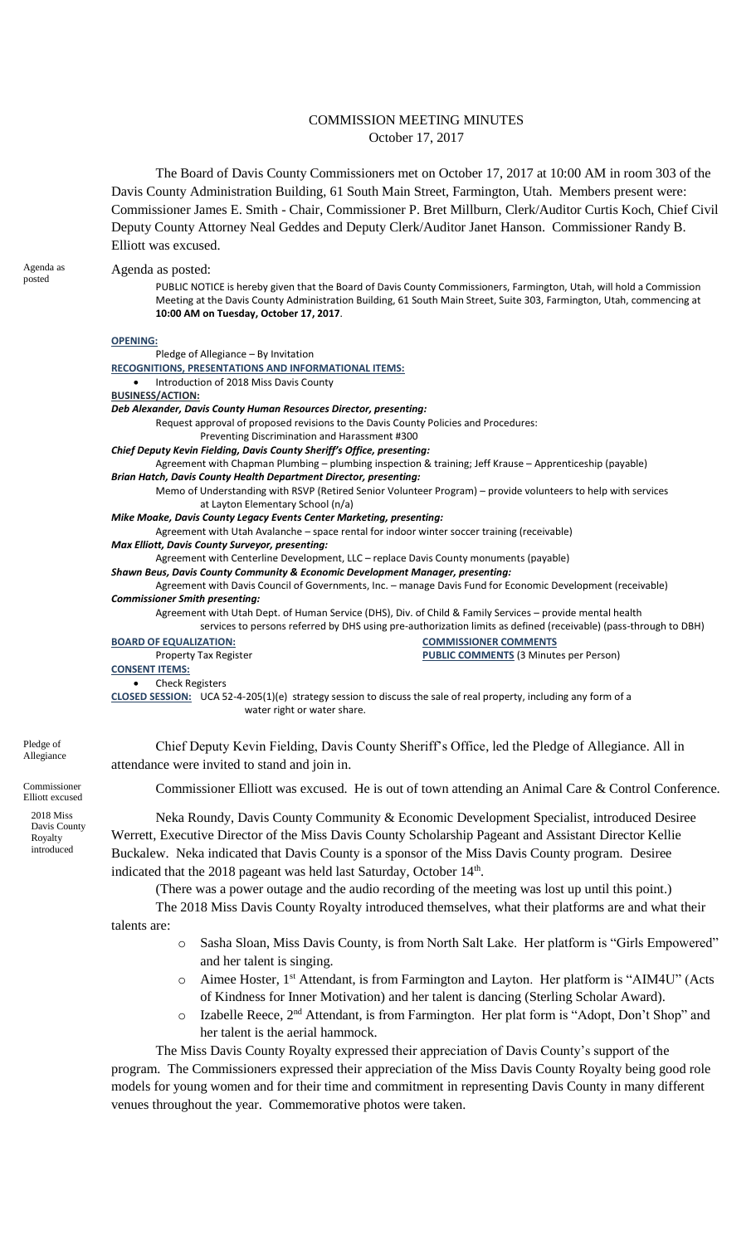## COMMISSION MEETING MINUTES October 17, 2017

The Board of Davis County Commissioners met on October 17, 2017 at 10:00 AM in room 303 of the Davis County Administration Building, 61 South Main Street, Farmington, Utah. Members present were: Commissioner James E. Smith - Chair, Commissioner P. Bret Millburn, Clerk/Auditor Curtis Koch, Chief Civil Deputy County Attorney Neal Geddes and Deputy Clerk/Auditor Janet Hanson. Commissioner Randy B. Elliott was excused.

Agenda as posted:

Agenda as posted

PUBLIC NOTICE is hereby given that the Board of Davis County Commissioners, Farmington, Utah, will hold a Commission Meeting at the Davis County Administration Building, 61 South Main Street, Suite 303, Farmington, Utah, commencing at **10:00 AM on Tuesday, October 17, 2017**.

**OPENING:**

| טו בועודע.                                                                          |                                                                                                                   |
|-------------------------------------------------------------------------------------|-------------------------------------------------------------------------------------------------------------------|
| Pledge of Allegiance – By Invitation                                                |                                                                                                                   |
| RECOGNITIONS, PRESENTATIONS AND INFORMATIONAL ITEMS:                                |                                                                                                                   |
| Introduction of 2018 Miss Davis County<br>$\bullet$                                 |                                                                                                                   |
| <b>BUSINESS/ACTION:</b>                                                             |                                                                                                                   |
| Deb Alexander, Davis County Human Resources Director, presenting:                   |                                                                                                                   |
| Request approval of proposed revisions to the Davis County Policies and Procedures: |                                                                                                                   |
| Preventing Discrimination and Harassment #300                                       |                                                                                                                   |
| Chief Deputy Kevin Fielding, Davis County Sheriff's Office, presenting:             |                                                                                                                   |
|                                                                                     | Agreement with Chapman Plumbing - plumbing inspection & training; Jeff Krause - Apprenticeship (payable)          |
| <b>Brian Hatch, Davis County Health Department Director, presenting:</b>            |                                                                                                                   |
|                                                                                     | Memo of Understanding with RSVP (Retired Senior Volunteer Program) - provide volunteers to help with services     |
| at Layton Elementary School (n/a)                                                   |                                                                                                                   |
| Mike Moake, Davis County Legacy Events Center Marketing, presenting:                |                                                                                                                   |
|                                                                                     | Agreement with Utah Avalanche - space rental for indoor winter soccer training (receivable)                       |
| <b>Max Elliott, Davis County Surveyor, presenting:</b>                              |                                                                                                                   |
|                                                                                     | Agreement with Centerline Development, LLC – replace Davis County monuments (payable)                             |
| Shawn Beus, Davis County Community & Economic Development Manager, presenting:      |                                                                                                                   |
|                                                                                     | Agreement with Davis Council of Governments, Inc. - manage Davis Fund for Economic Development (receivable)       |
| <b>Commissioner Smith presenting:</b>                                               |                                                                                                                   |
|                                                                                     | Agreement with Utah Dept. of Human Service (DHS), Div. of Child & Family Services - provide mental health         |
|                                                                                     | services to persons referred by DHS using pre-authorization limits as defined (receivable) (pass-through to DBH)  |
| <b>BOARD OF EQUALIZATION:</b>                                                       | <b>COMMISSIONER COMMENTS</b>                                                                                      |
| <b>Property Tax Register</b>                                                        | <b>PUBLIC COMMENTS (3 Minutes per Person)</b>                                                                     |
| <b>CONSENT ITEMS:</b>                                                               |                                                                                                                   |
| <b>Check Registers</b>                                                              |                                                                                                                   |
|                                                                                     | CLOSED SESSION: UCA 52-4-205(1)(e) strategy session to discuss the sale of real property, including any form of a |
| water right or water share.                                                         |                                                                                                                   |
|                                                                                     |                                                                                                                   |
|                                                                                     |                                                                                                                   |

Chief Deputy Kevin Fielding, Davis County Sheriff's Office, led the Pledge of Allegiance. All in attendance were invited to stand and join in.

Commissioner Elliott was excused. He is out of town attending an Animal Care & Control Conference.

Neka Roundy, Davis County Community & Economic Development Specialist, introduced Desiree Werrett, Executive Director of the Miss Davis County Scholarship Pageant and Assistant Director Kellie Buckalew. Neka indicated that Davis County is a sponsor of the Miss Davis County program. Desiree indicated that the 2018 pageant was held last Saturday, October 14<sup>th</sup>.

(There was a power outage and the audio recording of the meeting was lost up until this point.)

The 2018 Miss Davis County Royalty introduced themselves, what their platforms are and what their talents are:

- o Sasha Sloan, Miss Davis County, is from North Salt Lake. Her platform is "Girls Empowered" and her talent is singing.
- o Aimee Hoster, 1st Attendant, is from Farmington and Layton. Her platform is "AIM4U" (Acts of Kindness for Inner Motivation) and her talent is dancing (Sterling Scholar Award).
- o Izabelle Reece, 2nd Attendant, is from Farmington. Her plat form is "Adopt, Don't Shop" and her talent is the aerial hammock.

The Miss Davis County Royalty expressed their appreciation of Davis County's support of the program. The Commissioners expressed their appreciation of the Miss Davis County Royalty being good role models for young women and for their time and commitment in representing Davis County in many different venues throughout the year. Commemorative photos were taken.

Pledge of Allegiance

Commissioner Elliott excused 2018 Miss

> Davis County Royalty introduced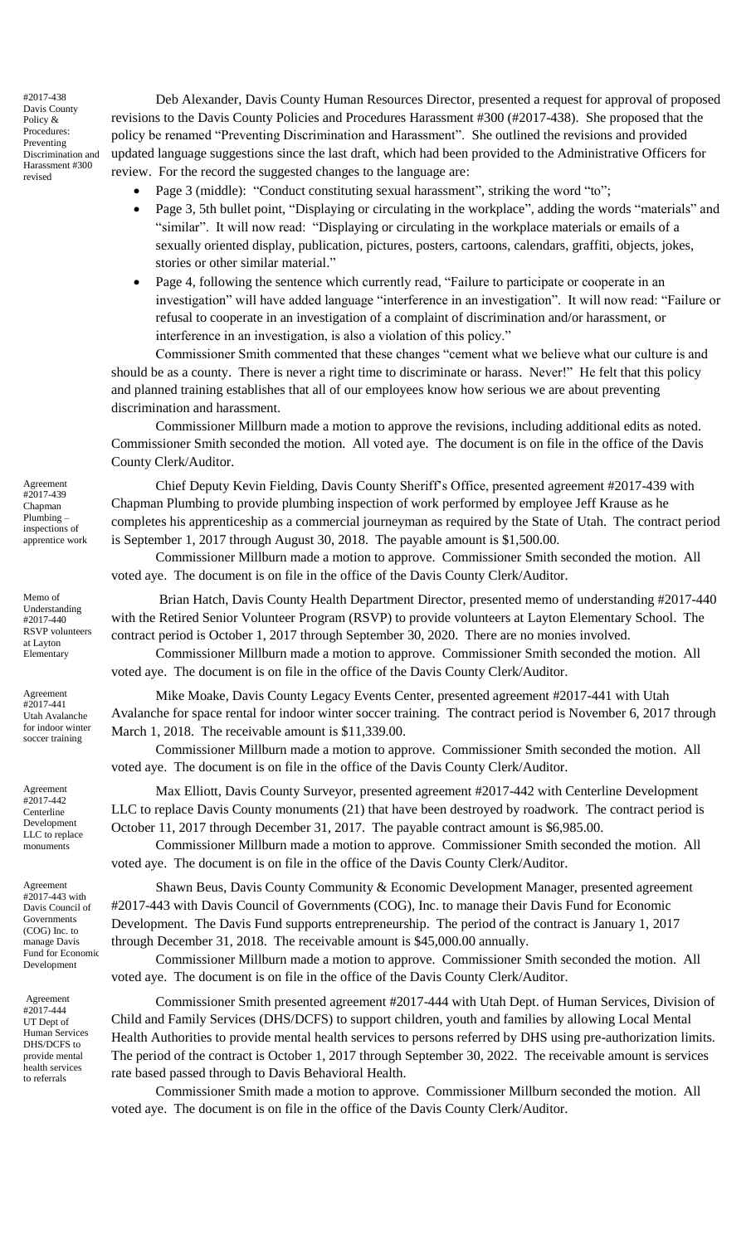#2017-438 Davis County Policy & Procedures: Preventing Discrimination and Harassment #300 revised

Deb Alexander, Davis County Human Resources Director, presented a request for approval of proposed revisions to the Davis County Policies and Procedures Harassment #300 (#2017-438). She proposed that the policy be renamed "Preventing Discrimination and Harassment". She outlined the revisions and provided updated language suggestions since the last draft, which had been provided to the Administrative Officers for review. For the record the suggested changes to the language are:

- Page 3 (middle): "Conduct constituting sexual harassment", striking the word "to";
- Page 3, 5th bullet point, "Displaying or circulating in the workplace", adding the words "materials" and "similar". It will now read: "Displaying or circulating in the workplace materials or emails of a sexually oriented display, publication, pictures, posters, cartoons, calendars, graffiti, objects, jokes, stories or other similar material."
- Page 4, following the sentence which currently read, "Failure to participate or cooperate in an investigation" will have added language "interference in an investigation". It will now read: "Failure or refusal to cooperate in an investigation of a complaint of discrimination and/or harassment, or interference in an investigation, is also a violation of this policy."

Commissioner Smith commented that these changes "cement what we believe what our culture is and should be as a county. There is never a right time to discriminate or harass. Never!" He felt that this policy and planned training establishes that all of our employees know how serious we are about preventing discrimination and harassment.

Commissioner Millburn made a motion to approve the revisions, including additional edits as noted. Commissioner Smith seconded the motion. All voted aye. The document is on file in the office of the Davis County Clerk/Auditor.

Chief Deputy Kevin Fielding, Davis County Sheriff's Office, presented agreement #2017-439 with Chapman Plumbing to provide plumbing inspection of work performed by employee Jeff Krause as he completes his apprenticeship as a commercial journeyman as required by the State of Utah. The contract period is September 1, 2017 through August 30, 2018. The payable amount is \$1,500.00.

Commissioner Millburn made a motion to approve. Commissioner Smith seconded the motion. All voted aye. The document is on file in the office of the Davis County Clerk/Auditor.

Brian Hatch, Davis County Health Department Director, presented memo of understanding #2017-440 with the Retired Senior Volunteer Program (RSVP) to provide volunteers at Layton Elementary School. The contract period is October 1, 2017 through September 30, 2020. There are no monies involved.

Commissioner Millburn made a motion to approve. Commissioner Smith seconded the motion. All voted aye. The document is on file in the office of the Davis County Clerk/Auditor.

Mike Moake, Davis County Legacy Events Center, presented agreement #2017-441 with Utah Avalanche for space rental for indoor winter soccer training. The contract period is November 6, 2017 through March 1, 2018. The receivable amount is \$11,339.00.

Commissioner Millburn made a motion to approve. Commissioner Smith seconded the motion. All voted aye. The document is on file in the office of the Davis County Clerk/Auditor.

Max Elliott, Davis County Surveyor, presented agreement #2017-442 with Centerline Development LLC to replace Davis County monuments (21) that have been destroyed by roadwork. The contract period is October 11, 2017 through December 31, 2017. The payable contract amount is \$6,985.00.

Commissioner Millburn made a motion to approve. Commissioner Smith seconded the motion. All voted aye. The document is on file in the office of the Davis County Clerk/Auditor.

Shawn Beus, Davis County Community & Economic Development Manager, presented agreement #2017-443 with Davis Council of Governments (COG), Inc. to manage their Davis Fund for Economic Development. The Davis Fund supports entrepreneurship. The period of the contract is January 1, 2017 through December 31, 2018. The receivable amount is \$45,000.00 annually.

Commissioner Millburn made a motion to approve. Commissioner Smith seconded the motion. All voted aye. The document is on file in the office of the Davis County Clerk/Auditor.

Commissioner Smith presented agreement #2017-444 with Utah Dept. of Human Services, Division of Child and Family Services (DHS/DCFS) to support children, youth and families by allowing Local Mental Health Authorities to provide mental health services to persons referred by DHS using pre-authorization limits. The period of the contract is October 1, 2017 through September 30, 2022. The receivable amount is services rate based passed through to Davis Behavioral Health.

Commissioner Smith made a motion to approve. Commissioner Millburn seconded the motion. All voted aye. The document is on file in the office of the Davis County Clerk/Auditor.

Agreement #2017-439 Chapman Plumbing – inspections of apprentice work

Memo of Understanding #2017-440 RSVP volunteers at Layton Elementary

Agreement #2017-441 Utah Avalanche for indoor winter soccer training

Agreement #2017-442 Centerline Development LLC to replace monuments

Agreement #2017-443 with Davis Council of Governments (COG) Inc. to manage Davis Fund for Economic Development

Agreement #2017-444 UT Dept of Human Services DHS/DCFS to provide mental health services to referrals